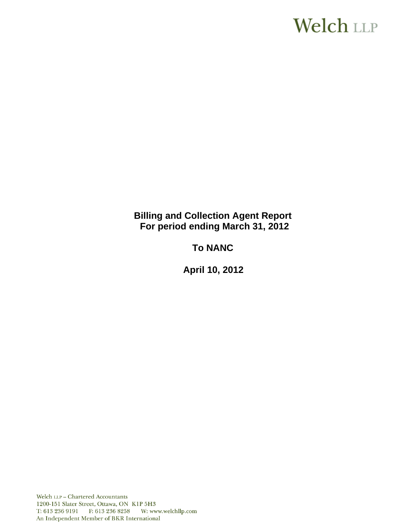# Welch LLP

**Billing and Collection Agent Report For period ending March 31, 2012**

**To NANC**

 **April 10, 2012**

Welch LLP - Chartered Accountants 1200-151 Slater Street, Ottawa, ON K1P 5H3 T: 613 236 9191 F: 613 236 8258 W: www.welchllp.com An Independent Member of BKR International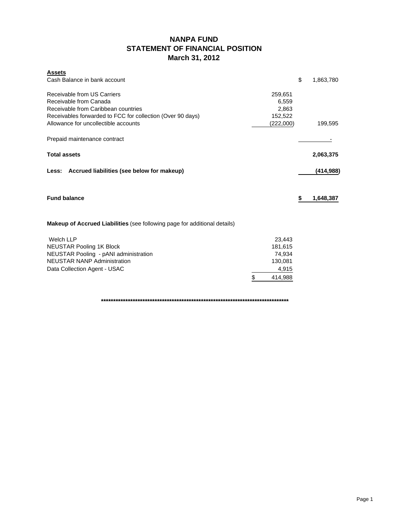# **NANPA FUND STATEMENT OF FINANCIAL POSITION March 31, 2012**

| <b>Assets</b>                                                                    |               |                 |
|----------------------------------------------------------------------------------|---------------|-----------------|
| Cash Balance in bank account                                                     |               | \$<br>1,863,780 |
| Receivable from US Carriers                                                      | 259,651       |                 |
| Receivable from Canada                                                           | 6,559         |                 |
| Receivable from Caribbean countries                                              | 2,863         |                 |
| Receivables forwarded to FCC for collection (Over 90 days)                       | 152,522       |                 |
| Allowance for uncollectible accounts                                             | (222,000)     | 199,595         |
| Prepaid maintenance contract                                                     |               |                 |
| <b>Total assets</b>                                                              |               | 2,063,375       |
| Less: Accrued liabilities (see below for makeup)                                 |               | (414, 988)      |
| <b>Fund balance</b>                                                              |               | \$<br>1,648,387 |
| <b>Makeup of Accrued Liabilities</b> (see following page for additional details) |               |                 |
| <b>Welch LLP</b>                                                                 | 23,443        |                 |
| <b>NEUSTAR Pooling 1K Block</b>                                                  | 181,615       |                 |
| NEUSTAR Pooling - pANI administration                                            | 74,934        |                 |
| <b>NEUSTAR NANP Administration</b>                                               | 130,081       |                 |
| Data Collection Agent - USAC                                                     | 4,915         |                 |
|                                                                                  | \$<br>414.988 |                 |

**\*\*\*\*\*\*\*\*\*\*\*\*\*\*\*\*\*\*\*\*\*\*\*\*\*\*\*\*\*\*\*\*\*\*\*\*\*\*\*\*\*\*\*\*\*\*\*\*\*\*\*\*\*\*\*\*\*\*\*\*\*\*\*\*\*\*\*\*\*\*\*\*\*\*\*\*\***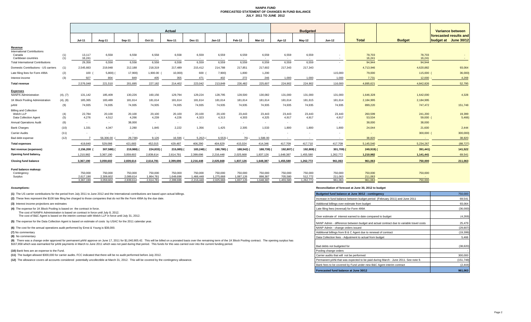#### **NANPA FUND FORECASTED STATEMENT OF CHANGES IN FUND BALANCE JULY 2011 TO JUNE 2012**

|                                                                     |            | <b>Actual</b>            |                      |                      |                          |                      |                      |                      |                      | <b>Budgeted</b>    |                    |                    |                                    |                    |                   |                                            |
|---------------------------------------------------------------------|------------|--------------------------|----------------------|----------------------|--------------------------|----------------------|----------------------|----------------------|----------------------|--------------------|--------------------|--------------------|------------------------------------|--------------------|-------------------|--------------------------------------------|
|                                                                     |            |                          |                      |                      |                          |                      |                      |                      |                      |                    |                    |                    |                                    |                    |                   | Variance between<br>forecasted results and |
|                                                                     |            | <b>Jul-11</b>            | Aug-11               | Sep-11               | Oct-11                   | <b>Nov-11</b>        | Dec-11               | $Jan-12$             | Feb-12               | Mar-12             | Apr-12             | $May-12$           | <b>Jun-12</b>                      | <b>Total</b>       | <b>Budget</b>     | budget at June 30/12                       |
| Revenue<br><b>International Contributions</b>                       |            |                          |                      |                      |                          |                      |                      |                      |                      |                    |                    |                    |                                    |                    |                   |                                            |
| Canada<br>Caribbean countries                                       | (1)<br>(1) | 13,117<br>16.241         | 6,558<br>$\sim$      | 6,558<br>$\sim$      | 6,558<br>$\sim$          | 6,558                | 6,559                | 6,559                | 6,559                | 6,559              | 6,559              | 6,559<br>$\sim$    | $\overline{\phantom{a}}$<br>$\sim$ | 78,703<br>16.241   | 78,703<br>16.241  |                                            |
| <b>Total International Contributions</b>                            |            | 29,358                   | 6,558                | 6,558                | 6,558                    | $\sim$<br>6,558      | $\sim$<br>6,559      | $\sim$<br>6,559      | $\sim$<br>6,559      | $\sim$<br>6,559    | $\sim$<br>6,559    | 6,559              | $\sim$                             | 94,944             | 94,944            | $\sim$                                     |
| Domestic Contributions - US carriers                                | (1)        | 2,545,663                | 219.948              | 212,188              | 218,319                  | 217,489              | 215,412              | 214,788              | 217,851              | 217,602            | 217,343            | 217,343            |                                    | 4,713,946          | 4,620,882         | 93,064                                     |
| Late filing fees for Form 499A                                      | (2)        | 100                      | $5,800$ )            | 17,900)              | 1,900.00                 | 10,000)              | 600 (                | 7,900)               | 1,800                | 1,200              |                    |                    | 115,000                            | 79,000             | 115,000           | 36,000                                     |
| Interest income                                                     | (3)        | 927                      | 804                  | 849                  | 405                      | 355                  | 471                  | 402                  | 272                  | 246                | 1,000              | 1,000              | 1,000                              | 7,731              | 12,000            | 4,269                                      |
| <b>Total revenue</b>                                                |            | 2.576.048                | 221.510              | 201.695              | 227.182                  | 214.402              | 223.042              | 213.849              | 226,482              | 225.607            | 224.902            | 224.902            | 116,000                            | 4.895.621          | 4.842.826         | 52,795                                     |
|                                                                     |            |                          |                      |                      |                          |                      |                      |                      |                      |                    |                    |                    |                                    |                    |                   |                                            |
| <b>Expenses</b><br><b>NANPA Administration</b>                      | (4), (7)   | 131,142                  | 185,409              | 130,226              | 160,156                  | 129,794              | 129,224              | 128,795              | 128,500              | 130,082            | 131,000            | 131,000            | 131,000                            | 1,646,328          | 1,642,000         | 4,328                                      |
| 1K Block Pooling Administration                                     | (4), (8)   | 185,365                  | 183,489              | 181,614              | 181,614                  | 181,614              | 181,614              | 181,614              | 181,614              | 181,614            | 181,614            | 181,615            | 181,614                            | 2,184,995          | 2,184,995         |                                            |
| pANI                                                                | (9)        | 74,935                   | 74,935               | 74,935               | 74,935                   | 74,935               | 74,935               | 74,935               | 74,935               | 74,935             | 74,935             | 74,935             | 74,935                             | 899,220            | 747,472           | 151,748                                    |
| <b>Billing and Collection</b><br>Welch LLP<br>Data Collection Agent | (4)<br>(5) | 22,784<br>4,276          | 20,100<br>4.512      | 20,100<br>4,266      | 20,100<br>4.239          | 20,100<br>4,226      | 20,100<br>4,323      | 20,100<br>4,313      | 23,443<br>4,303      | 23,443<br>4,325    | 23,443<br>4.917    | 23,443<br>4,917    | 23,443<br>4,917                    | 260,599<br>53,534  | 241,200<br>59,000 | 19,399<br>5,466                            |
| <b>Annual Operations Audit</b>                                      | (6)        | $\sim$                   | $\sim$               | 38,000               | $\sim$                   | $\sim$               | $\sim$               | $\sim$               | $\sim$               | $\sim$             | $\sim$             |                    | $\sim$                             | 38,000             | 38,000            |                                            |
| <b>Bank Charges</b>                                                 | (10)       | 1,331                    | 4.347                | 2.280                | 1.845                    | 2,222                | 1,356                | 1,425                | 2.305                | 1.533              | 1.800              | 1.800              | 1.800                              | 24,044             | 21,600            | 2,444                                      |
| <b>Carrier Audits</b>                                               | (11)       | $\overline{\phantom{a}}$ | $\sim$               | $\sim$               | $\overline{\phantom{a}}$ | $\sim$               | $\sim$               | $\sim$               |                      | $\sim$             |                    |                    | $\overline{\phantom{a}}$           | $\sim$             | 300,000           | 300,000                                    |
| Bad debt expense                                                    | (12)       |                          | 56,306.00            | 29,738)              | 9,126                    | 16,596               | 5,262                | 6,553)               | $76$ ) -             | 1,586.00           | $\sim$             |                    | . .                                | 38,820             | $\sim$            | 38,820                                     |
| <b>Total expenses</b>                                               |            | 419,840                  | 529.098              | 421,683              | 452,015                  | 429.487              | 406,290              | 404,629              | 415,024              | 414,346            | 417,709            | 417,710            | 417,709                            | 5,145,540          | 5,234,267         | (88, 727)                                  |
| Net revenue (expenses)                                              |            | 2,156,208                | 307,588)             | 219,988)             | 224,833)                 | 215,085)             | 183,248) (           | 190,780)             | 188,542)             | 188,739)           | 192,807) (         | 192,808) (         | 301,709)                           | 249,919) (         | 391,441)          | 141,522                                    |
| <b>Opening fund balance</b>                                         |            | 1,210,982                | 3,367,190            | 3,059,602            | 2,839,614                | 2,614,781            | 2,399,696            | 2,216,448            | 2,025,668            | 1,837,126          | 1,648,387          | 1,455,580          | 1,262,772                          | 1,210,982          | 1,141,441         | 69,541                                     |
| <b>Closing fund balance</b>                                         |            | 3,367,190                | 3,059,602            | 2,839,614            | 2,614,781                | 2,399,696            | 2,216,448            | 2,025,668            | 1,837,126            | 1,648,387          | 1,455,580          | 1,262,772          | 961,063                            | 961,063            | 750,000           | 211,063                                    |
| Fund balance makeup:                                                |            |                          |                      |                      |                          |                      |                      |                      |                      |                    |                    |                    |                                    |                    |                   |                                            |
| Contingency<br>Surplus                                              |            | 750,000<br>2.617.190     | 750,000<br>2,309,602 | 750,000<br>2.089.614 | 750,000<br>1.864.781     | 750,000<br>1.649.696 | 750,000<br>1,466,448 | 750,000<br>1,275,668 | 750,000<br>1,087,126 | 750,000<br>898.387 | 750,000<br>705.580 | 750,000<br>512,772 | 750,000<br>211,063                 | 750,000<br>211.063 | 750,000<br>$\sim$ |                                            |
|                                                                     |            | 3,367,190                | 3.059.602            | 2.839.614            | 2.614.781                | 2.399.696            | 2,216,448            | 2,025,668            | 1,837,126            | 1,648,387          | 1.455.580          | 1,262,772          | 961.063                            | 961.063            | 750,000           |                                            |

**(8)** No commentary

#### **Assumptions: Reconciliation of forecast at June 30, 2012 to budget**

| (1) The US carrier contributions for the period from July 2011 to June 2012 and the International contributions are based upon actual billings.                                                                                                                                                                                                                                                                       | Budgeted fund balance at June 30/12 - contingency                                       | 750,000    |
|-----------------------------------------------------------------------------------------------------------------------------------------------------------------------------------------------------------------------------------------------------------------------------------------------------------------------------------------------------------------------------------------------------------------------|-----------------------------------------------------------------------------------------|------------|
| (2) These fees represent the \$100 late filing fee charged to those companies that do not file the Form 499A by the due date.                                                                                                                                                                                                                                                                                         | Increase in fund balance between budget period (February 2011) and June 2011            | 69,541     |
| (3) Interest income projections are estimates                                                                                                                                                                                                                                                                                                                                                                         | Additional billings over estimate from budget                                           | 93,064     |
| (4) The expense for 1K Block Pooling is based on the contract in force.                                                                                                                                                                                                                                                                                                                                               | Late filing fees (reversal) for Form 499A                                               | (36,000)   |
| The cost of NANPA Administration is based on contract in force until July 8, 2012.<br>The cost of B&C Agent is based on the interim contract with Welch LLP in force until July 31, 2012.                                                                                                                                                                                                                             | Over estimate of interest earned to date compared to budget                             | (4,269)    |
| (5) The expense for the Data Collection Agent is based on estimate of costs by USAC for the 2011 calendar year.                                                                                                                                                                                                                                                                                                       | NANP Admin - difference between budget and actual contract due to variable travel costs | 25,479     |
| (6) The cost for the annual operations audit performed by Ernst & Young is \$38,000.                                                                                                                                                                                                                                                                                                                                  | NANP Admin - change orders issued                                                       | (29, 807)  |
| (7) No commentary                                                                                                                                                                                                                                                                                                                                                                                                     | Additional billings from B & C Agent due to renewal of contract                         | (19, 399)  |
| (8) No commentary                                                                                                                                                                                                                                                                                                                                                                                                     | Data Collection fees - Adjustment to actual from budget                                 | 5,466      |
| (9) There was a change order approved for permanent pANI approve on June 17, 2011 for \$1,040,905.42. This will be billed on a prorated basis over the remaining term of the 1K Block Pooling contract. The opening surplus has<br>\$167,858 which was earmarked for pANI payments in March to June 2011 which was not paid during that period. This funds for this was carried over into the current funding period. | Bad debts not budgeted for                                                              | (38, 820)  |
| (10) Bank fees are an expense to the Fund.                                                                                                                                                                                                                                                                                                                                                                            | Pooling change orders                                                                   |            |
| (11) The budget allowed \$300,000 for carrier audits. FCC indicated that there will be no audit performed before July 2012.                                                                                                                                                                                                                                                                                           | Carrier audits that will not be performed                                               | 300,000    |
| (12) The allowance covers all accounts considered potentially uncollectible at March 31, 2012. This will be covered by the contingency allowance.                                                                                                                                                                                                                                                                     | Permanent pANi that was expected to be paid during March - June 2011. See note 9.       | (151, 748) |
|                                                                                                                                                                                                                                                                                                                                                                                                                       | Bank fees to be covered by Fund under new B&C Agent interim contract                    | (2, 444)   |
|                                                                                                                                                                                                                                                                                                                                                                                                                       | Forecasted fund balance at June 30/12                                                   | 961,063    |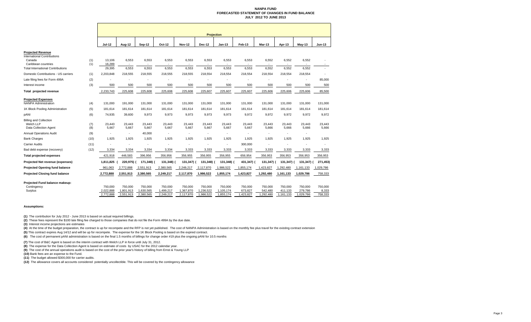#### **NANPA FUND FORECASTED STATEMENT OF CHANGES IN FUND BALANCEJULY 2012 TO JUNE 2013**

|                                                                                                 |            | <b>Projection</b>                 |                                   |                                   |                                   |                                   |                                   |                                   |                                 |                                 |                                 |                                 |                             |
|-------------------------------------------------------------------------------------------------|------------|-----------------------------------|-----------------------------------|-----------------------------------|-----------------------------------|-----------------------------------|-----------------------------------|-----------------------------------|---------------------------------|---------------------------------|---------------------------------|---------------------------------|-----------------------------|
|                                                                                                 |            | <b>Jul-12</b>                     | Aug-12                            | <b>Sep-12</b>                     | Oct-12                            | <b>Nov-12</b>                     | <b>Dec-12</b>                     | <b>Jan-13</b>                     | Feb-13                          | Mar-13                          | Apr-13                          | May-13                          | <b>Jun-13</b>               |
| <b>Projected Revenue</b><br><b>International Contributions</b><br>Canada<br>Caribbean countries | (1)<br>(1) | 13.106<br>16,289                  | 6,553<br>$\overline{a}$           | 6,553                             | 6,553                             | 6,553                             | 6,553                             | 6,553                             | 6,553                           | 6,552                           | 6,552                           | 6,552                           |                             |
| <b>Total International Contributions</b>                                                        |            | 29,395                            | 6,553                             | 6,553                             | 6,553                             | 6,553                             | 6,553                             | 6,553                             | 6,553                           | 6,552                           | 6,552                           | 6,552                           |                             |
| Domestic Contributions - US carriers                                                            | (1)        | 2,203,848                         | 218,555                           | 218,555                           | 218,555                           | 218,555                           | 218,554                           | 218,554                           | 218,554                         | 218,554                         | 218,554                         | 218,554                         |                             |
| Late filing fees for Form 499A                                                                  | (2)        |                                   |                                   |                                   |                                   |                                   |                                   |                                   |                                 |                                 |                                 | $\overline{\phantom{0}}$        | 85.000                      |
| Interest income                                                                                 | (3)        | 500                               | 500                               | 500                               | 500                               | 500                               | 500                               | 500                               | 500                             | 500                             | 500                             | 500                             | 500                         |
| Total projected revenue                                                                         |            | 2,233,743                         | 225,608                           | 225,608                           | 225,608                           | 225,608                           | 225,607                           | 225,607                           | 225,607                         | 225,606                         | 225,606                         | 225,606                         | 85,500                      |
| <b>Projected Expenses</b><br><b>NANPA Administration</b>                                        | (4)        | 131,000                           | 191,000                           | 131,000                           | 131,000                           | 131,000                           | 131,000                           | 131,000                           | 131,000                         | 131,000                         | 131,000                         | 131,000                         | 131,000                     |
| 1K Block Pooling Administration                                                                 | (5)        | 181,614                           | 181,614                           | 181,614                           | 181,614                           | 181,614                           | 181,614                           | 181,614                           | 181,614                         | 181,614                         | 181.614                         | 181,614                         | 181,614                     |
| pANI                                                                                            | (6)        | 74,935                            | 39,600                            | 9,973                             | 9,973                             | 9,973                             | 9,973                             | 9,973                             | 9,972                           | 9,972                           | 9,972                           | 9,972                           | 9,972                       |
| <b>Billing and Collection</b><br>Welch LLP<br>Data Collection Agent                             | (7)<br>(8) | 23.443<br>5,667                   | 23.443<br>5,667                   | 23.443<br>5,667                   | 23.443<br>5,667                   | 23,443<br>5,667                   | 23,443<br>5,667                   | 23.443<br>5,667                   | 23,443<br>5,667                 | 23.443<br>5,666                 | 23,443<br>5,666                 | 23,443<br>5,666                 | 23,443<br>5,666             |
| <b>Annual Operations Audit</b>                                                                  | (9)        | $\sim$                            | $\blacksquare$                    | 40,000                            |                                   |                                   |                                   | ٠                                 |                                 | $\blacksquare$                  |                                 |                                 |                             |
| <b>Bank Charges</b>                                                                             | (10)       | 1,925                             | 1,925                             | 1,925                             | 1,925                             | 1,925                             | 1,925                             | 1,925                             | 1,925                           | 1,925                           | 1,925                           | 1,925                           | 1,925                       |
| <b>Carrier Audits</b>                                                                           | (11)       |                                   |                                   |                                   |                                   |                                   |                                   | ٠                                 | 300,000                         |                                 |                                 |                                 |                             |
| Bad debt expense (recovery)                                                                     | (12)       | 3,334                             | 3,334                             | 3,334                             | 3,334                             | 3,333                             | 3,333                             | 3,333                             | 3,333                           | 3,333                           | 3,333                           | 3,333                           | 3,333                       |
| <b>Total projected expenses</b>                                                                 |            | 421,918                           | 446,583                           | 396,956                           | 356,956                           | 356,955                           | 356,955                           | 356,955                           | 656,954                         | 356,953                         | 356,953                         | 356,953                         | 356,953                     |
| Projected Net revenue (expenses)                                                                |            | 1,811,825                         | 220,975)                          | 171,348) (                        | 131,348) (                        | 131,347) (                        | 131,348)                          | 131,348)                          | 431,347)                        | 131,347)                        | 131,347)                        | 131,347)                        | 271,453)                    |
| <b>Projected Opening fund balance</b>                                                           |            | 961,063                           | 2,772,888                         | 2,551,913                         | 2,380,565                         | 2,249,217                         | 2,117,870                         | 1,986,522                         | 1,855,174                       | 1,423,827                       | 1,292,480                       | 1,161,133                       | 1,029,786                   |
| <b>Projected Closing fund balance</b>                                                           |            | 2,772,888                         | 2,551,913                         | 2,380,565                         | 2,249,217                         | 2,117,870                         | 1,986,522                         | 1,855,174                         | 1,423,827                       | 1,292,480                       | 1,161,133                       | 1,029,786                       | 758,333                     |
| Projected Fund balance makeup:<br>Contingency<br>Surplus                                        |            | 750.000<br>2,022,888<br>2,772,888 | 750,000<br>1,801,913<br>2,551,913 | 750,000<br>1,630,565<br>2,380,565 | 750,000<br>1,499,217<br>2,249,217 | 750,000<br>1,367,870<br>2,117,870 | 750,000<br>1,236,522<br>1,986,522 | 750,000<br>1,105,174<br>1,855,174 | 750,000<br>673,827<br>1,423,827 | 750,000<br>542,480<br>1,292,480 | 750,000<br>411,133<br>1,161,133 | 750,000<br>279,786<br>1,029,786 | 750,000<br>8,333<br>758,333 |

#### **Assumptions:**

**(1)** The contribution for July 2012 - June 2013 is based on actual required billings.

**(2)** These fees represent the \$100 late filing fee charged to those companies that do not file the Form 499A by the due date.

**(3)** Interest income projections are estimates

(4) At the time of the budget preparation, the contract is up for recompete and the RFP is not yet published. The cost of NANPA Administration is based on the monthly fee plus travel for the existing contract extension

**(5)** This contract expires Aug 14/12 and will be up for recompete. The expense for the 1K Block Pooling is based on the expired contract.

**(6)** The cost of permanent pANI administration is based on the final 1.5 months of billings for change order #19 plus the ongoing pANI for 10.5 months

**(7)** The cost of B&C Agent is based on the interim contract with Welch LLP in force until July 31, 2012.

**(8)** The expense for the Data Collection Agent is based on estimate of costs by USAC for the 2012 calendar year.

**(9)** The cost of the annual operations audit is based on the cost of the prior year's history of billing from Ernst & Young LLP

**(10)** Bank fees are an expense to the Fund.

**(11)** The budget allowed \$300,000 for carrier audits.

**(12)** The allowance covers all accounts considered potentially uncollectible. This will be covered by the contingency allowance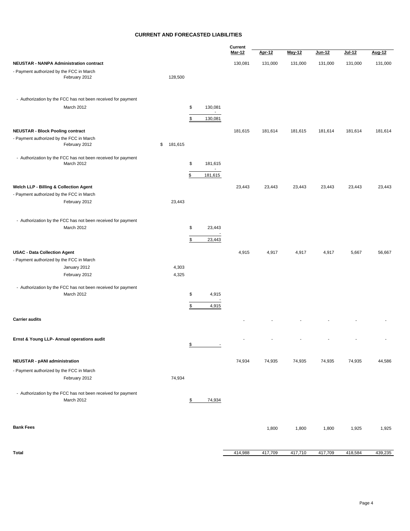#### **CURRENT AND FORECASTED LIABILITIES**

|                                                                            |               |                                            | Current |         |         |         |         |         |
|----------------------------------------------------------------------------|---------------|--------------------------------------------|---------|---------|---------|---------|---------|---------|
|                                                                            |               |                                            | Mar-12  | Apr-12  | May-12  | Jun-12  | Jul-12  | Aug-12  |
| <b>NEUSTAR - NANPA Administration contract</b>                             |               |                                            | 130,081 | 131,000 | 131,000 | 131,000 | 131,000 | 131,000 |
| - Payment authorized by the FCC in March<br>February 2012                  | 128,500       |                                            |         |         |         |         |         |         |
| - Authorization by the FCC has not been received for payment               |               |                                            |         |         |         |         |         |         |
| March 2012                                                                 |               | \$<br>130,081<br>$\sim$<br>\$<br>130,081   |         |         |         |         |         |         |
| <b>NEUSTAR - Block Pooling contract</b>                                    |               |                                            | 181,615 | 181,614 | 181,615 | 181,614 | 181,614 | 181,614 |
| - Payment authorized by the FCC in March<br>February 2012                  | \$<br>181,615 |                                            |         |         |         |         |         |         |
| - Authorization by the FCC has not been received for payment<br>March 2012 |               | \$<br>181,615<br>\$<br>181,615             |         |         |         |         |         |         |
| Welch LLP - Billing & Collection Agent                                     |               |                                            | 23,443  | 23,443  | 23,443  | 23,443  | 23,443  | 23,443  |
| - Payment authorized by the FCC in March                                   |               |                                            |         |         |         |         |         |         |
| February 2012                                                              | 23,443        |                                            |         |         |         |         |         |         |
| - Authorization by the FCC has not been received for payment               |               |                                            |         |         |         |         |         |         |
| March 2012                                                                 |               | \$<br>23,443                               |         |         |         |         |         |         |
|                                                                            |               | \$<br>23,443                               |         |         |         |         |         |         |
| <b>USAC - Data Collection Agent</b>                                        |               |                                            | 4,915   | 4,917   | 4,917   | 4,917   | 5,667   | 56,667  |
| - Payment authorized by the FCC in March                                   |               |                                            |         |         |         |         |         |         |
| January 2012                                                               | 4,303         |                                            |         |         |         |         |         |         |
| February 2012                                                              | 4,325         |                                            |         |         |         |         |         |         |
| - Authorization by the FCC has not been received for payment               |               |                                            |         |         |         |         |         |         |
| March 2012                                                                 |               | \$<br>4,915                                |         |         |         |         |         |         |
|                                                                            |               | \$<br>4,915                                |         |         |         |         |         |         |
| <b>Carrier audits</b>                                                      |               |                                            |         |         |         |         |         |         |
| Ernst & Young LLP- Annual operations audit                                 |               | $$\mathbb{S}$$<br>$\overline{\phantom{a}}$ |         |         |         |         |         |         |
| <b>NEUSTAR - pANI administration</b>                                       |               |                                            | 74,934  | 74,935  | 74,935  | 74,935  | 74,935  | 44,586  |
| - Payment authorized by the FCC in March                                   |               |                                            |         |         |         |         |         |         |
| February 2012                                                              | 74,934        |                                            |         |         |         |         |         |         |
| - Authorization by the FCC has not been received for payment<br>March 2012 |               | \$<br>74,934                               |         |         |         |         |         |         |
| <b>Bank Fees</b>                                                           |               |                                            |         | 1,800   | 1,800   | 1,800   | 1,925   | 1,925   |
|                                                                            |               |                                            |         |         |         |         |         |         |

**Total** 417,709 417,710 417,709 417,709 417,709 418,584 439,235